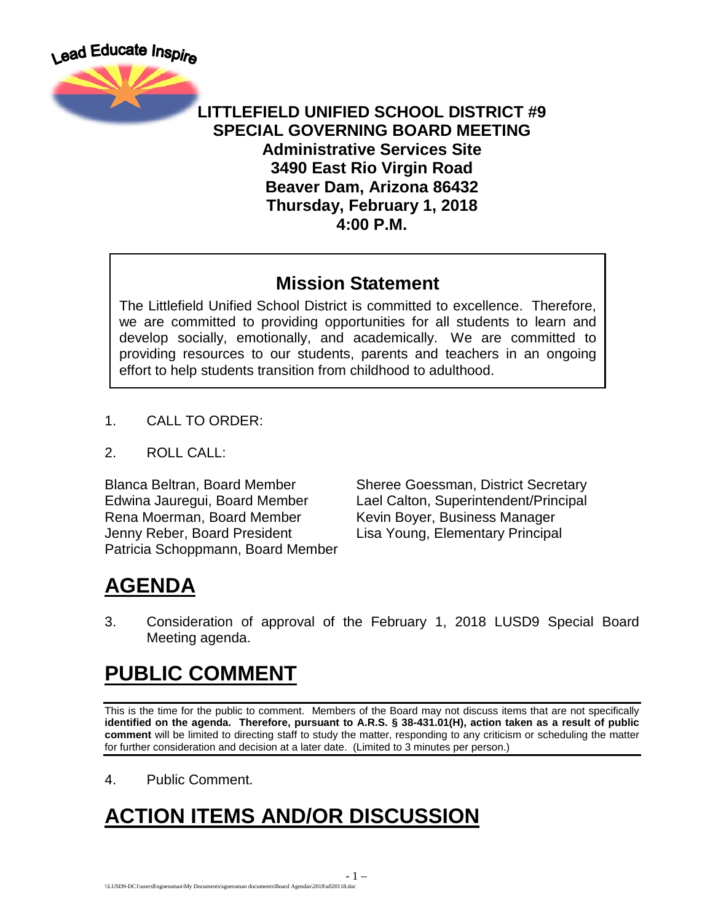

#### **LITTLEFIELD UNIFIED SCHOOL DISTRICT #9 SPECIAL GOVERNING BOARD MEETING Administrative Services Site 3490 East Rio Virgin Road Beaver Dam, Arizona 86432 Thursday, February 1, 2018 4:00 P.M.**

#### **Mission Statement**

The Littlefield Unified School District is committed to excellence. Therefore, we are committed to providing opportunities for all students to learn and develop socially, emotionally, and academically. We are committed to providing resources to our students, parents and teachers in an ongoing effort to help students transition from childhood to adulthood.

- 1. CALL TO ORDER:
- 2. ROLL CALL:

Blanca Beltran, Board Member Sheree Goessman, District Secretary Edwina Jauregui, Board Member Lael Calton, Superintendent/Principal Rena Moerman, Board Member Kevin Boyer, Business Manager Jenny Reber, Board President Lisa Young, Elementary Principal Patricia Schoppmann, Board Member

# **AGENDA**

3. Consideration of approval of the February 1, 2018 LUSD9 Special Board Meeting agenda.

## **PUBLIC COMMENT**

This is the time for the public to comment. Members of the Board may not discuss items that are not specifically **identified on the agenda. Therefore, pursuant to A.R.S. § 38-431.01(H), action taken as a result of public comment** will be limited to directing staff to study the matter, responding to any criticism or scheduling the matter for further consideration and decision at a later date. (Limited to 3 minutes per person.)

4. Public Comment.

# **ACTION ITEMS AND/OR DISCUSSION**